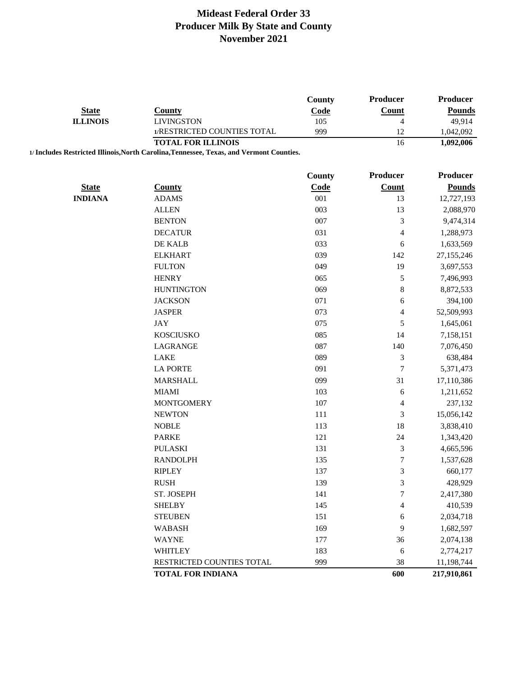|                 |                                                                                          | <b>County</b> | Producer         | Producer        |
|-----------------|------------------------------------------------------------------------------------------|---------------|------------------|-----------------|
| <b>State</b>    | <b>County</b>                                                                            | Code          | Count            | <b>Pounds</b>   |
| <b>ILLINOIS</b> | <b>LIVINGSTON</b>                                                                        | 105           | $\overline{4}$   | 49,914          |
|                 | 1/RESTRICTED COUNTIES TOTAL                                                              | 999           | 12               | 1,042,092       |
|                 | <b>TOTAL FOR ILLINOIS</b>                                                                |               | 16               | 1,092,006       |
|                 | 1/ Includes Restricted Illinois, North Carolina, Tennessee, Texas, and Vermont Counties. |               |                  |                 |
|                 |                                                                                          |               | Producer         | <b>Producer</b> |
|                 |                                                                                          | County        |                  |                 |
| <b>State</b>    | <b>County</b>                                                                            | Code          | <b>Count</b>     | <b>Pounds</b>   |
| <b>INDIANA</b>  | <b>ADAMS</b>                                                                             | 001           | 13               | 12,727,193      |
|                 | <b>ALLEN</b>                                                                             | 003           | 13               | 2,088,970       |
|                 | <b>BENTON</b>                                                                            | 007           | 3                | 9,474,314       |
|                 | <b>DECATUR</b>                                                                           | 031           | 4                | 1,288,973       |
|                 | DE KALB                                                                                  | 033           | 6                | 1,633,569       |
|                 | <b>ELKHART</b>                                                                           | 039           | 142              | 27,155,246      |
|                 | <b>FULTON</b>                                                                            | 049           | 19               | 3,697,553       |
|                 | <b>HENRY</b>                                                                             | 065           | 5                | 7,496,993       |
|                 | <b>HUNTINGTON</b>                                                                        | 069           | 8                | 8,872,533       |
|                 | <b>JACKSON</b>                                                                           | 071           | 6                | 394,100         |
|                 | <b>JASPER</b>                                                                            | 073           | 4                | 52,509,993      |
|                 | <b>JAY</b>                                                                               | 075           | 5                | 1,645,061       |
|                 | <b>KOSCIUSKO</b>                                                                         | 085           | 14               | 7,158,151       |
|                 | LAGRANGE                                                                                 | 087           | 140              | 7,076,450       |
|                 | <b>LAKE</b>                                                                              | 089           | 3                | 638,484         |
|                 | <b>LA PORTE</b>                                                                          | 091           | $\boldsymbol{7}$ | 5,371,473       |
|                 | <b>MARSHALL</b>                                                                          | 099           | 31               | 17,110,386      |
|                 | <b>MIAMI</b>                                                                             | 103           | 6                | 1,211,652       |
|                 | <b>MONTGOMERY</b>                                                                        | 107           | 4                | 237,132         |
|                 | <b>NEWTON</b>                                                                            | 111           | $\mathfrak{Z}$   | 15,056,142      |
|                 | <b>NOBLE</b>                                                                             | 113           | 18               | 3,838,410       |
|                 | <b>PARKE</b>                                                                             | 121           | 24               | 1,343,420       |
|                 | <b>PULASKI</b>                                                                           | 131           | $\mathfrak{Z}$   | 4,665,596       |
|                 | <b>RANDOLPH</b>                                                                          | 135           | $\boldsymbol{7}$ | 1,537,628       |
|                 | <b>RIPLEY</b>                                                                            | 137           | 3                | 660,177         |
|                 | <b>RUSH</b>                                                                              | 139           | 3                | 428,929         |
|                 | ST. JOSEPH                                                                               | 141           | $\boldsymbol{7}$ | 2,417,380       |
|                 | <b>SHELBY</b>                                                                            | 145           | 4                | 410,539         |
|                 | <b>STEUBEN</b>                                                                           | 151           | 6                | 2,034,718       |
|                 | <b>WABASH</b>                                                                            | 169           | 9                | 1,682,597       |
|                 | <b>WAYNE</b>                                                                             | 177           | 36               | 2,074,138       |
|                 | <b>WHITLEY</b>                                                                           | 183           | 6                | 2,774,217       |
|                 | RESTRICTED COUNTIES TOTAL                                                                | 999           | 38               | 11,198,744      |
|                 | <b>TOTAL FOR INDIANA</b>                                                                 |               | 600              | 217,910,861     |
|                 |                                                                                          |               |                  |                 |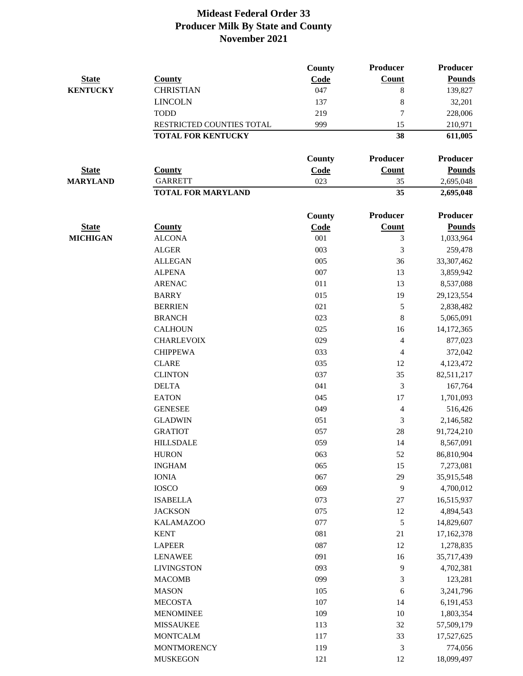|                 |                           | County | <b>Producer</b> | <b>Producer</b> |
|-----------------|---------------------------|--------|-----------------|-----------------|
| <b>State</b>    | <b>County</b>             | Code   | <b>Count</b>    | <b>Pounds</b>   |
| <b>KENTUCKY</b> | <b>CHRISTIAN</b>          | 047    | 8               | 139,827         |
|                 | <b>LINCOLN</b>            | 137    | $\,8\,$         | 32,201          |
|                 | <b>TODD</b>               | 219    | 7               | 228,006         |
|                 | RESTRICTED COUNTIES TOTAL | 999    | 15              | 210,971         |
|                 | <b>TOTAL FOR KENTUCKY</b> |        | 38              | 611,005         |
|                 |                           | County | Producer        | <b>Producer</b> |
| <b>State</b>    | <b>County</b>             | Code   | <b>Count</b>    | <b>Pounds</b>   |
| <b>MARYLAND</b> | <b>GARRETT</b>            | 023    | 35              | 2,695,048       |
|                 | <b>TOTAL FOR MARYLAND</b> |        | 35              | 2,695,048       |
|                 |                           | County | Producer        | <b>Producer</b> |
| <b>State</b>    | <b>County</b>             | Code   | Count           | <b>Pounds</b>   |
| <b>MICHIGAN</b> | <b>ALCONA</b>             | 001    | 3               | 1,033,964       |
|                 | <b>ALGER</b>              | 003    | 3               | 259,478         |
|                 | <b>ALLEGAN</b>            | 005    | 36              | 33,307,462      |
|                 | <b>ALPENA</b>             | 007    | 13              | 3,859,942       |
|                 | <b>ARENAC</b>             | 011    | 13              | 8,537,088       |
|                 | <b>BARRY</b>              | 015    | 19              | 29,123,554      |
|                 | <b>BERRIEN</b>            | 021    | $\sqrt{5}$      | 2,838,482       |
|                 | <b>BRANCH</b>             | 023    | 8               | 5,065,091       |
|                 | <b>CALHOUN</b>            | 025    | 16              | 14,172,365      |
|                 | <b>CHARLEVOIX</b>         | 029    | 4               | 877,023         |
|                 | <b>CHIPPEWA</b>           | 033    | 4               | 372,042         |
|                 | <b>CLARE</b>              | 035    | 12              | 4,123,472       |
|                 | <b>CLINTON</b>            | 037    | 35              | 82,511,217      |
|                 | <b>DELTA</b>              | 041    | 3               | 167,764         |
|                 | <b>EATON</b>              | 045    | 17              | 1,701,093       |
|                 | <b>GENESEE</b>            | 049    | 4               | 516,426         |
|                 | <b>GLADWIN</b>            | 051    | 3               | 2,146,582       |
|                 | <b>GRATIOT</b>            | 057    | 28              | 91,724,210      |
|                 | <b>HILLSDALE</b>          | 059    | 14              | 8,567,091       |
|                 | <b>HURON</b>              | 063    | 52              | 86,810,904      |
|                 | <b>INGHAM</b>             | 065    | 15              | 7,273,081       |
|                 | <b>IONIA</b>              | 067    | 29              | 35,915,548      |
|                 | <b>IOSCO</b>              | 069    | 9               | 4,700,012       |
|                 | <b>ISABELLA</b>           | 073    | 27              | 16,515,937      |
|                 | <b>JACKSON</b>            | 075    | 12              | 4,894,543       |
|                 | <b>KALAMAZOO</b>          | 077    | $\sqrt{5}$      | 14,829,607      |
|                 | <b>KENT</b>               | 081    | 21              | 17,162,378      |
|                 | <b>LAPEER</b>             | 087    | 12              | 1,278,835       |
|                 | <b>LENAWEE</b>            | 091    | 16              | 35,717,439      |
|                 | <b>LIVINGSTON</b>         | 093    | 9               | 4,702,381       |
|                 | <b>MACOMB</b>             | 099    | 3               | 123,281         |
|                 | <b>MASON</b>              | 105    | 6               | 3,241,796       |
|                 | <b>MECOSTA</b>            | 107    | 14              | 6,191,453       |
|                 | <b>MENOMINEE</b>          | 109    | $10\,$          | 1,803,354       |
|                 | <b>MISSAUKEE</b>          | 113    | 32              | 57,509,179      |
|                 | <b>MONTCALM</b>           | 117    | 33              | 17,527,625      |
|                 | <b>MONTMORENCY</b>        | 119    | $\mathfrak{Z}$  | 774,056         |
|                 | <b>MUSKEGON</b>           | 121    | 12              | 18,099,497      |
|                 |                           |        |                 |                 |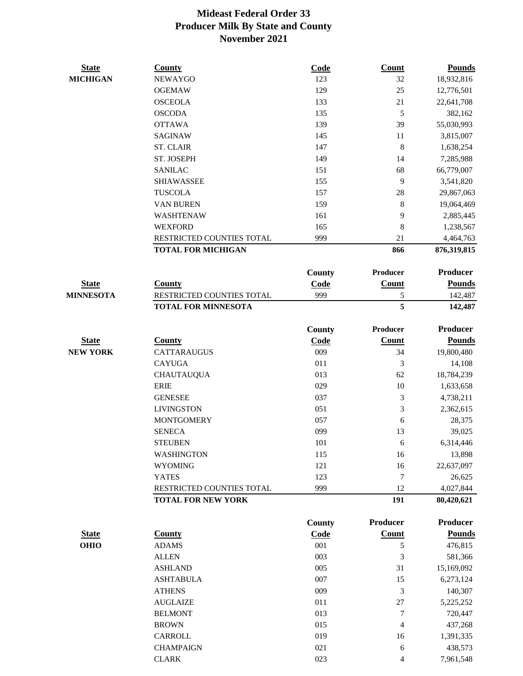| <b>State</b>     | <b>County</b>              | <b>Code</b> | <b>Count</b>    | <b>Pounds</b>   |
|------------------|----------------------------|-------------|-----------------|-----------------|
| <b>MICHIGAN</b>  | <b>NEWAYGO</b>             | 123         | 32              | 18,932,816      |
|                  | <b>OGEMAW</b>              | 129         | 25              | 12,776,501      |
|                  | <b>OSCEOLA</b>             | 133         | 21              | 22,641,708      |
|                  | <b>OSCODA</b>              | 135         | 5               | 382,162         |
|                  | <b>OTTAWA</b>              | 139         | 39              | 55,030,993      |
|                  | <b>SAGINAW</b>             | 145         | 11              | 3,815,007       |
|                  | <b>ST. CLAIR</b>           | 147         | 8               | 1,638,254       |
|                  | ST. JOSEPH                 | 149         | 14              | 7,285,988       |
|                  | <b>SANILAC</b>             | 151         | 68              | 66,779,007      |
|                  | <b>SHIAWASSEE</b>          | 155         | 9               | 3,541,820       |
|                  | <b>TUSCOLA</b>             | 157         | 28              | 29,867,063      |
|                  | <b>VAN BUREN</b>           | 159         | 8               | 19,064,469      |
|                  | WASHTENAW                  | 161         | 9               | 2,885,445       |
|                  | <b>WEXFORD</b>             | 165         | 8               | 1,238,567       |
|                  | RESTRICTED COUNTIES TOTAL  | 999         | 21              | 4,464,763       |
|                  | <b>TOTAL FOR MICHIGAN</b>  |             | 866             | 876,319,815     |
|                  |                            | County      | Producer        | <b>Producer</b> |
| <b>State</b>     | <b>County</b>              | Code        | <b>Count</b>    | <b>Pounds</b>   |
| <b>MINNESOTA</b> | RESTRICTED COUNTIES TOTAL  | 999         | 5               | 142,487         |
|                  | <b>TOTAL FOR MINNESOTA</b> |             | 5               | 142,487         |
|                  |                            | County      | <b>Producer</b> | <b>Producer</b> |
| <b>State</b>     | <b>County</b>              | Code        | <b>Count</b>    | <b>Pounds</b>   |
| <b>NEW YORK</b>  | <b>CATTARAUGUS</b>         | 009         | 34              | 19,800,480      |
|                  | <b>CAYUGA</b>              | 011         | 3               | 14,108          |
|                  | <b>CHAUTAUQUA</b>          | 013         | 62              | 18,784,239      |
|                  | <b>ERIE</b>                | 029         | $10\,$          | 1,633,658       |
|                  | <b>GENESEE</b>             | 037         | 3               | 4,738,211       |
|                  | <b>LIVINGSTON</b>          | 051         | 3               | 2,362,615       |
|                  | <b>MONTGOMERY</b>          | 057         | 6               | 28,375          |
|                  | <b>SENECA</b>              | 099         | 13              | 39,025          |
|                  | <b>STEUBEN</b>             | 101         | $\sqrt{6}$      | 6,314,446       |
|                  | <b>WASHINGTON</b>          | 115         | 16              | 13,898          |
|                  | <b>WYOMING</b>             | 121         | 16              | 22,637,097      |
|                  | <b>YATES</b>               | 123         | 7               | 26,625          |
|                  | RESTRICTED COUNTIES TOTAL  | 999         | 12              | 4,027,844       |
|                  | <b>TOTAL FOR NEW YORK</b>  |             | 191             | 80,420,621      |
|                  |                            | County      | Producer        | <b>Producer</b> |
| <b>State</b>     | <b>County</b>              | Code        | <b>Count</b>    | <b>Pounds</b>   |
| <b>OHIO</b>      | <b>ADAMS</b>               | 001         | 5               | 476,815         |
|                  | <b>ALLEN</b>               | 003         | 3               | 581,366         |
|                  | <b>ASHLAND</b>             | 005         | 31              | 15,169,092      |
|                  | <b>ASHTABULA</b>           | 007         | 15              | 6,273,124       |
|                  | <b>ATHENS</b>              | 009         | 3               | 140,307         |
|                  | <b>AUGLAIZE</b>            | 011         | 27              | 5,225,252       |
|                  | <b>BELMONT</b>             | 013         | 7               | 720,447         |
|                  | <b>BROWN</b>               | 015         | 4               | 437,268         |
|                  | CARROLL                    | 019         | 16              | 1,391,335       |
|                  | <b>CHAMPAIGN</b>           | 021         | 6               | 438,573         |
|                  | <b>CLARK</b>               | 023         | 4               | 7,961,548       |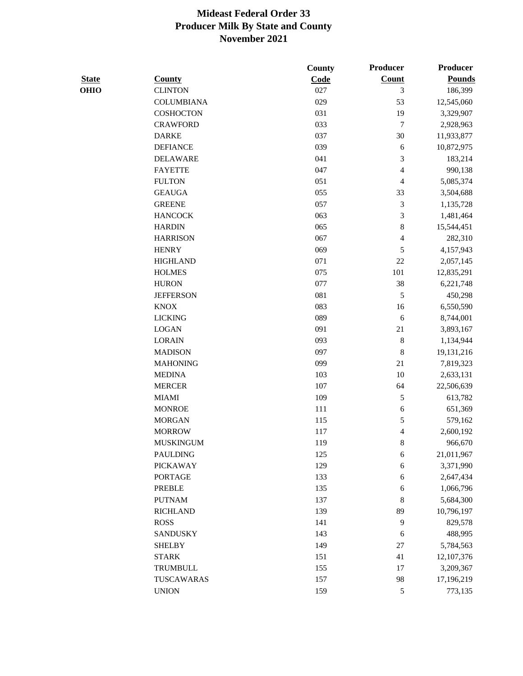|                   |      |               | Producer      |
|-------------------|------|---------------|---------------|
| <b>County</b>     | Code | <b>Count</b>  | <b>Pounds</b> |
| <b>CLINTON</b>    | 027  | 3             | 186,399       |
| <b>COLUMBIANA</b> | 029  | 53            | 12,545,060    |
| COSHOCTON         | 031  | 19            | 3,329,907     |
| <b>CRAWFORD</b>   | 033  | $\tau$        | 2,928,963     |
| <b>DARKE</b>      | 037  | 30            | 11,933,877    |
| <b>DEFIANCE</b>   | 039  | 6             | 10,872,975    |
| <b>DELAWARE</b>   | 041  | 3             | 183,214       |
| <b>FAYETTE</b>    | 047  | 4             | 990,138       |
| <b>FULTON</b>     | 051  | 4             | 5,085,374     |
| <b>GEAUGA</b>     | 055  | 33            | 3,504,688     |
| <b>GREENE</b>     | 057  | 3             | 1,135,728     |
| <b>HANCOCK</b>    | 063  | 3             | 1,481,464     |
| <b>HARDIN</b>     | 065  | 8             | 15,544,451    |
| <b>HARRISON</b>   | 067  | 4             | 282,310       |
| <b>HENRY</b>      | 069  | 5             | 4,157,943     |
| <b>HIGHLAND</b>   | 071  | $22\,$        | 2,057,145     |
| <b>HOLMES</b>     | 075  | 101           | 12,835,291    |
| <b>HURON</b>      | 077  | 38            | 6,221,748     |
| <b>JEFFERSON</b>  | 081  | 5             | 450,298       |
| <b>KNOX</b>       | 083  | 16            | 6,550,590     |
| <b>LICKING</b>    | 089  | 6             | 8,744,001     |
| <b>LOGAN</b>      | 091  | 21            | 3,893,167     |
| <b>LORAIN</b>     | 093  | $\,$ 8 $\,$   | 1,134,944     |
| <b>MADISON</b>    | 097  | 8             | 19,131,216    |
| <b>MAHONING</b>   | 099  | 21            | 7,819,323     |
| <b>MEDINA</b>     | 103  | 10            | 2,633,131     |
| <b>MERCER</b>     | 107  | 64            | 22,506,639    |
| <b>MIAMI</b>      | 109  | 5             | 613,782       |
| <b>MONROE</b>     | 111  | $\sqrt{6}$    | 651,369       |
| <b>MORGAN</b>     | 115  | 5             | 579,162       |
| <b>MORROW</b>     | 117  | 4             | 2,600,192     |
| <b>MUSKINGUM</b>  | 119  | 8             | 966,670       |
| <b>PAULDING</b>   | 125  | 6             | 21,011,967    |
| <b>PICKAWAY</b>   | 129  | $\sqrt{6}$    | 3,371,990     |
| <b>PORTAGE</b>    | 133  | $\sqrt{6}$    | 2,647,434     |
| <b>PREBLE</b>     | 135  | 6             | 1,066,796     |
| <b>PUTNAM</b>     | 137  | 8             | 5,684,300     |
| <b>RICHLAND</b>   | 139  | 89            | 10,796,197    |
| <b>ROSS</b>       | 141  | 9             | 829,578       |
| <b>SANDUSKY</b>   | 143  | 6             | 488,995       |
| <b>SHELBY</b>     | 149  | $27\,$        | 5,784,563     |
| <b>STARK</b>      | 151  | 41            | 12,107,376    |
| <b>TRUMBULL</b>   | 155  | 17            | 3,209,367     |
| TUSCAWARAS        | 157  | 98            | 17,196,219    |
| <b>UNION</b>      | 159  | $\sqrt{5}$    | 773,135       |
|                   |      | <b>County</b> | Producer      |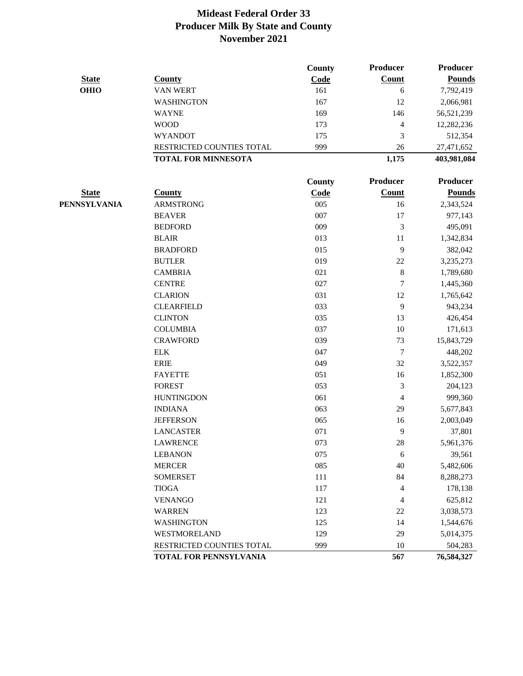|              |                            | <b>County</b> | Producer       | <b>Producer</b> |
|--------------|----------------------------|---------------|----------------|-----------------|
| <b>State</b> | <b>County</b>              | Code          | <b>Count</b>   | <b>Pounds</b>   |
| <b>OHIO</b>  | <b>VAN WERT</b>            | 161           | 6              | 7,792,419       |
|              | <b>WASHINGTON</b>          | 167           | 12             | 2,066,981       |
|              | <b>WAYNE</b>               | 169           | 146            | 56,521,239      |
|              | <b>WOOD</b>                | 173           | 4              | 12,282,236      |
|              | <b>WYANDOT</b>             | 175           | 3              | 512,354         |
|              | RESTRICTED COUNTIES TOTAL  | 999           | 26             | 27,471,652      |
|              | <b>TOTAL FOR MINNESOTA</b> |               | 1,175          | 403,981,084     |
|              |                            | County        | Producer       | Producer        |
| <b>State</b> | <b>County</b>              | Code          | Count          | <b>Pounds</b>   |
| PENNSYLVANIA | <b>ARMSTRONG</b>           | 005           | 16             | 2,343,524       |
|              | <b>BEAVER</b>              | 007           | 17             | 977,143         |
|              | <b>BEDFORD</b>             | 009           | 3              | 495,091         |
|              | <b>BLAIR</b>               | 013           | 11             | 1,342,834       |
|              | <b>BRADFORD</b>            | 015           | 9              | 382,042         |
|              | <b>BUTLER</b>              | 019           | 22             | 3,235,273       |
|              | <b>CAMBRIA</b>             | 021           | $\,8\,$        | 1,789,680       |
|              | <b>CENTRE</b>              | 027           | 7              | 1,445,360       |
|              | <b>CLARION</b>             | 031           | 12             | 1,765,642       |
|              | <b>CLEARFIELD</b>          | 033           | 9              | 943,234         |
|              | <b>CLINTON</b>             | 035           | 13             | 426,454         |
|              | <b>COLUMBIA</b>            | 037           | 10             | 171,613         |
|              | <b>CRAWFORD</b>            | 039           | 73             | 15,843,729      |
|              | ${\rm ELK}$                | 047           | $\tau$         | 448,202         |
|              | <b>ERIE</b>                | 049           | 32             | 3,522,357       |
|              | <b>FAYETTE</b>             | 051           | 16             | 1,852,300       |
|              | <b>FOREST</b>              | 053           | $\mathfrak{Z}$ | 204,123         |
|              | <b>HUNTINGDON</b>          | 061           | $\overline{4}$ | 999,360         |
|              | <b>INDIANA</b>             | 063           | 29             | 5,677,843       |
|              | <b>JEFFERSON</b>           | 065           | 16             | 2,003,049       |
|              | <b>LANCASTER</b>           | 071           | 9              | 37,801          |
|              | <b>LAWRENCE</b>            | 073           | 28             | 5,961,376       |
|              | <b>LEBANON</b>             | 075           | 6              | 39,561          |
|              | <b>MERCER</b>              | 085           | 40             | 5,482,606       |
|              | <b>SOMERSET</b>            | 111           | 84             | 8,288,273       |
|              | <b>TIOGA</b>               | 117           | $\overline{4}$ | 178,138         |
|              | <b>VENANGO</b>             | 121           | $\overline{4}$ | 625,812         |
|              | <b>WARREN</b>              | 123           | 22             | 3,038,573       |
|              | <b>WASHINGTON</b>          | 125           | 14             | 1,544,676       |
|              | WESTMORELAND               | 129           | 29             | 5,014,375       |
|              | RESTRICTED COUNTIES TOTAL  | 999           | 10             | 504,283         |
|              | TOTAL FOR PENNSYLVANIA     |               | 567            | 76,584,327      |